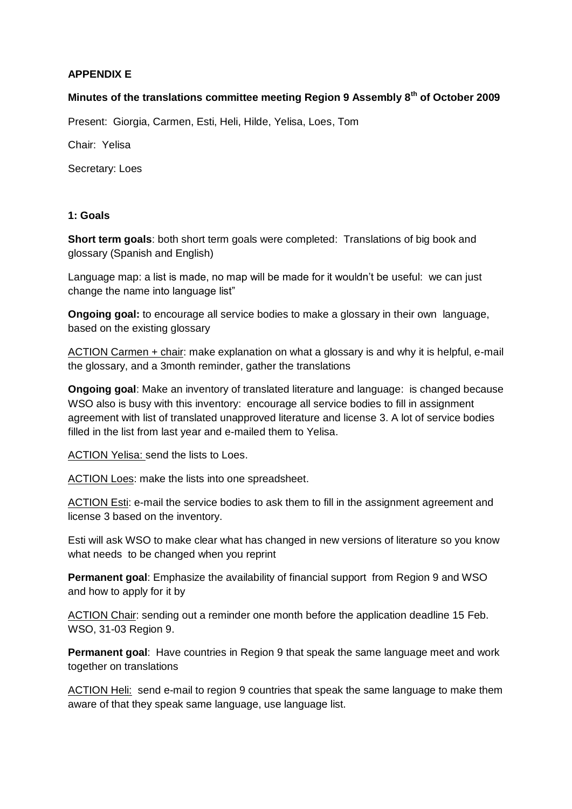## **APPENDIX E**

## **Minutes of the translations committee meeting Region 9 Assembly 8th of October 2009**

Present: Giorgia, Carmen, Esti, Heli, Hilde, Yelisa, Loes, Tom

Chair: Yelisa

Secretary: Loes

#### **1: Goals**

**Short term goals**: both short term goals were completed: Translations of big book and glossary (Spanish and English)

Language map: a list is made, no map will be made for it wouldn't be useful: we can just change the name into language list"

**Ongoing goal:** to encourage all service bodies to make a glossary in their own language, based on the existing glossary

ACTION Carmen + chair: make explanation on what a glossary is and why it is helpful, e-mail the glossary, and a 3month reminder, gather the translations

**Ongoing goal**: Make an inventory of translated literature and language: is changed because WSO also is busy with this inventory: encourage all service bodies to fill in assignment agreement with list of translated unapproved literature and license 3. A lot of service bodies filled in the list from last year and e-mailed them to Yelisa.

ACTION Yelisa: send the lists to Loes.

ACTION Loes: make the lists into one spreadsheet.

ACTION Esti: e-mail the service bodies to ask them to fill in the assignment agreement and license 3 based on the inventory.

Esti will ask WSO to make clear what has changed in new versions of literature so you know what needs to be changed when you reprint

**Permanent goal**: Emphasize the availability of financial support from Region 9 and WSO and how to apply for it by

ACTION Chair: sending out a reminder one month before the application deadline 15 Feb. WSO, 31-03 Region 9.

**Permanent goal**: Have countries in Region 9 that speak the same language meet and work together on translations

ACTION Heli: send e-mail to region 9 countries that speak the same language to make them aware of that they speak same language, use language list.